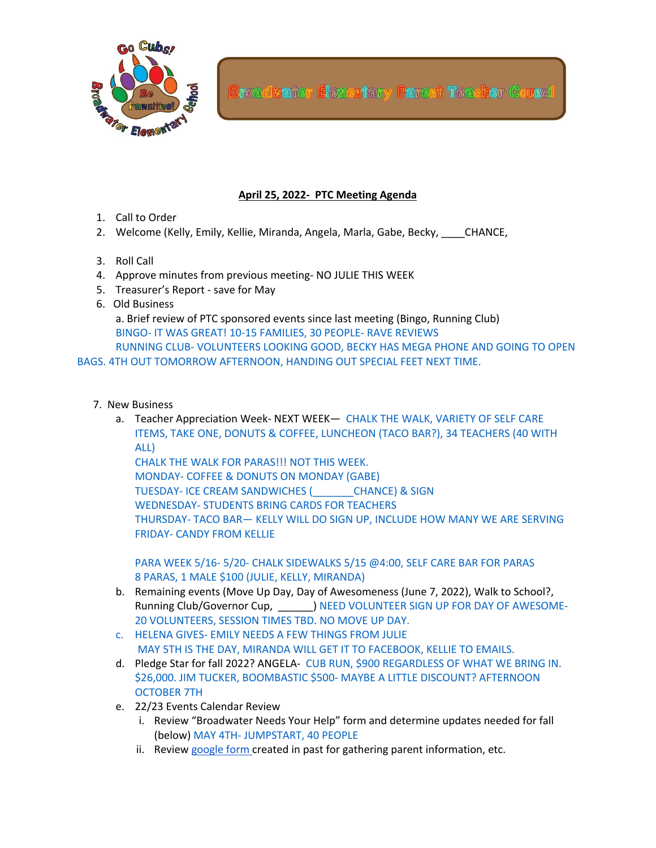

### **April 25, 2022- PTC Meeting Agenda**

- 1. Call to Order
- 2. Welcome (Kelly, Emily, Kellie, Miranda, Angela, Marla, Gabe, Becky, CHANCE,
- 3. Roll Call
- 4. Approve minutes from previous meeting- NO JULIE THIS WEEK
- 5. Treasurer's Report save for May
- 6. Old Business

a. Brief review of PTC sponsored events since last meeting (Bingo, Running Club) BINGO- IT WAS GREAT! 10-15 FAMILIES, 30 PEOPLE- RAVE REVIEWS RUNNING CLUB- VOLUNTEERS LOOKING GOOD, BECKY HAS MEGA PHONE AND GOING TO OPEN

BAGS. 4TH OUT TOMORROW AFTERNOON, HANDING OUT SPECIAL FEET NEXT TIME.

- 7. New Business
	- a. Teacher Appreciation Week- NEXT WEEK— CHALK THE WALK, VARIETY OF SELF CARE ITEMS, TAKE ONE, DONUTS & COFFEE, LUNCHEON (TACO BAR?), 34 TEACHERS (40 WITH ALL)

CHALK THE WALK FOR PARAS!!! NOT THIS WEEK. MONDAY- COFFEE & DONUTS ON MONDAY (GABE) TUESDAY- ICE CREAM SANDWICHES (\_\_\_\_\_\_\_CHANCE) & SIGN WEDNESDAY- STUDENTS BRING CARDS FOR TEACHERS THURSDAY- TACO BAR— KELLY WILL DO SIGN UP, INCLUDE HOW MANY WE ARE SERVING FRIDAY- CANDY FROM KELLIE

PARA WEEK 5/16- 5/20- CHALK SIDEWALKS 5/15 @4:00, SELF CARE BAR FOR PARAS 8 PARAS, 1 MALE \$100 (JULIE, KELLY, MIRANDA)

- b. Remaining events (Move Up Day, Day of Awesomeness (June 7, 2022), Walk to School?, Running Club/Governor Cup, THEED VOLUNTEER SIGN UP FOR DAY OF AWESOME-20 VOLUNTEERS, SESSION TIMES TBD. NO MOVE UP DAY.
- c. HELENA GIVES- EMILY NEEDS A FEW THINGS FROM JULIE MAY 5TH IS THE DAY, MIRANDA WILL GET IT TO FACEBOOK, KELLIE TO EMAILS.
- d. Pledge Star for fall 2022? ANGELA- CUB RUN, \$900 REGARDLESS OF WHAT WE BRING IN. \$26,000. JIM TUCKER, BOOMBASTIC \$500- MAYBE A LITTLE DISCOUNT? AFTERNOON OCTOBER 7TH
- e. 22/23 Events Calendar Review
	- i. Review "Broadwater Needs Your Help" form and determine updates needed for fall (below) MAY 4TH- JUMPSTART, 40 PEOPLE
	- ii. Review google form created in past for gathering parent information, etc.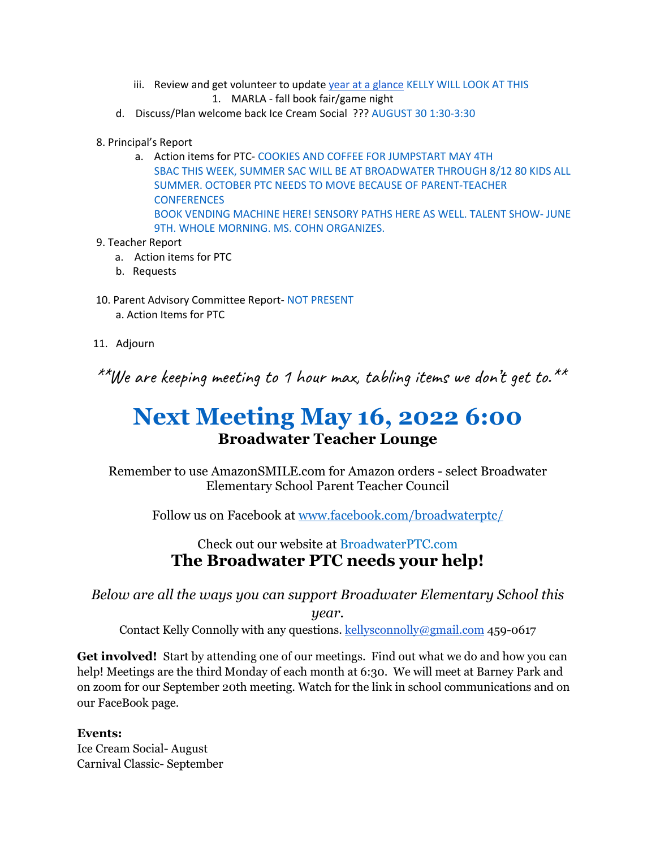- iii. Review and get volunteer to update year at a glance KELLY WILL LOOK AT THIS 1. MARLA - fall book fair/game night
- d. Discuss/Plan welcome back Ice Cream Social ??? AUGUST 30 1:30-3:30
- 8. Principal's Report
	- a. Action items for PTC- COOKIES AND COFFEE FOR JUMPSTART MAY 4TH SBAC THIS WEEK, SUMMER SAC WILL BE AT BROADWATER THROUGH 8/12 80 KIDS ALL SUMMER. OCTOBER PTC NEEDS TO MOVE BECAUSE OF PARENT-TEACHER **CONFERENCES** BOOK VENDING MACHINE HERE! SENSORY PATHS HERE AS WELL. TALENT SHOW- JUNE 9TH. WHOLE MORNING. MS. COHN ORGANIZES.
- 9. Teacher Report
	- a. Action items for PTC
	- b. Requests
- 10. Parent Advisory Committee Report- NOT PRESENT a. Action Items for PTC
- 11. Adjourn

 $*$  We are keeping meeting to 1 hour max, tabling items we don't get to.  $*$ 

# **Next Meeting May 16, 2022 6:00 Broadwater Teacher Lounge**

Remember to use AmazonSMILE.com for Amazon orders - select Broadwater Elementary School Parent Teacher Council

Follow us on Facebook at www.facebook.com/broadwaterptc/

## Check out our website at BroadwaterPTC.com **The Broadwater PTC needs your help!**

*Below are all the ways you can support Broadwater Elementary School this* 

*year.* 

Contact Kelly Connolly with any questions. kellysconnolly@gmail.com 459-0617

**Get involved!** Start by attending one of our meetings. Find out what we do and how you can help! Meetings are the third Monday of each month at 6:30. We will meet at Barney Park and on zoom for our September 20th meeting. Watch for the link in school communications and on our FaceBook page.

#### **Events:**

Ice Cream Social- August Carnival Classic- September